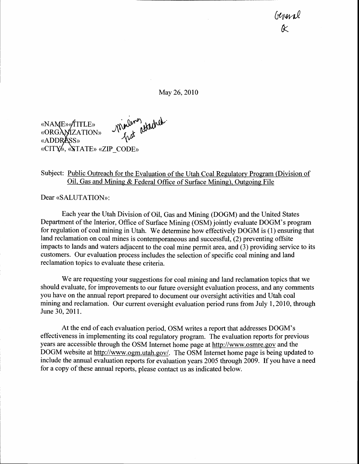General k

May 26,2010



## Subject: Public Outreach for the Evaluation of the Utah Coal Regulatory Program (Division of Oil. Gas and Mining & Federal Office of Surface Mining). Outgoing File

Dear «SALUTATION»:

Each year the Utah Division of Oil, Gas and Mining (DOGM) and the United States Department of the Interior, Office of Surface Mining (OSM) jointly evaluate DOGM's program for regulation of coal mining in Utah. We determine how effectively DOGM is (1) ensuring that land reclamation on coal mines is contemporaneous and successful, (2) preventing offsite impacts to lands and waters adjacent to the coal mine permit area, and (3) providing service to its customers. Our evaluation process includes the selection of specific coal mining and land reclamation topics to evaluate these criteria.

We are requesting your suggestions for coal mining and land reclamation topics that we should evaluate, for improvements to our future oversight evaluation process, and any comments you have on the annual report prepared to document our oversight activities and Utah coal mining and reclamation. Our current oversight evaluation period runs from July 1,2010, through June 30, 2011.

At the end of each evaluation period, OSM writes a report that addresses DOGM's effectiveness in implementing its coal regulatory program. The evaluation reports for previous years are accessible through the OSM Internet home page at http://www.osmre.gov and the DOGM website at http://www.ogm.utah.gov/. The OSM Internet home page is being updated to include the annual evaluation reports for evaluation years 2005 through 2009. If you have a need for a copy of these annual reports, please contact us as indicated below.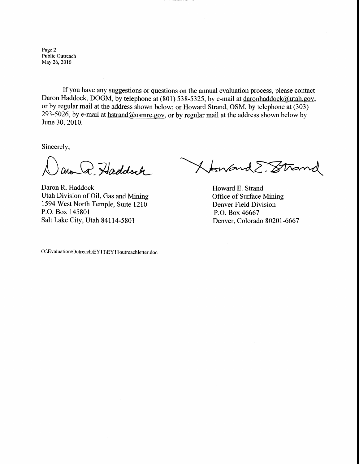Page 2 Public Outreach May 26,2010

If you have any suggestions or questions on the annual evaluation process, please contact Daron Haddock, DOGM, by telephone at (801) 538-5325, by e-mail at daronhaddock@utah.gov, or by regular mail at the address shown below; or Howard Strand, OSM, by telephone at (303) 293-5026, by e-mail at hstrand@osmre.gov, or by regular mail at the address shown below by June 30, 2010.

Sincerely,

 $\bigcap$ aron Q. Haddock

Daron R. Haddock Utah Division of Oil, Gas and Mining 1594 West North Temple, Suite l2l0 P.O. Box 145801 Salt Lake City, Utah 841 14-5801

XonandE. Strand

Howard E. Strand Office of Surface Mining Denver Field Division P.O. Box 46667 Denver, Colorado 80201 -6667

O:\Evaluation\Outreach\EY I I \EY I I outreachletter.doc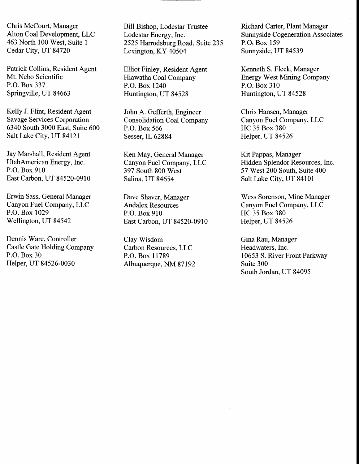Chris McCourt, Manager Alton Coal Development, LLC 463 North 100 West, Suite 1 Cedar City, UT 8472A

Patrick Collins, Resident Agent Mt. Nebo Scientific P.O. Box 337 Springville, UT 84663

Kelly J. Flint, Resident Agent Savage Services Corporation 6340 South 3000 East, Suite 600 Salt Lake City, UT 84121

Jay Marshall, Resident Agent UtahAmerican Energy, Inc. P.O. Box 910 East Carbon, UT 84520-0910

Erwin Sass, General Manager Canyon Fuel Company, LLC P.O. Box 1029 Wellington, UT 84542

Dennis Ware, Controller Castle Gate Holding Company P.O. Box 30 Helper, UT 84526-0030

Bill Bishop, Lodestar Trustee Lodestar Energy, Inc. 2525 Harrodsburg Road, Suite 235 Lexington, KY 40504

Elliot Finley, Resident Agent Hiawatha Coal Company P.O. Box 1240 Huntington, UT 84528

John A. Gefferth, Engineer Consolidation Coal Company P.O. Box 566 Sesser, IL 62884

Ken May, General Manager Canyon Fuel Company, LLC 397 South 800 West Salina, UT 84654

Dave Shaver, Manager Andalex Resources P.O. Box 910 East Carbon, UT 84520-0910

Clay Wisdom Carbon Resources, LLC P.O. Box 11789 Albuquerque, NM 87192 Richard Carter, Plant Manager Sunnyside Cogeneration Associates P.O, Box 159 Sunnyside, UT 84539

Kenneth S. Fleck, Manager Energy West Mining Company P.O. Box 310 Huntington, UT 84528

Chris Hansen, Manager Canyon Fuel Company, LLC HC 35 Box 380 Helper, UT 84526

Kit Pappas, Manager Hidden Splendor Resources, Inc. 57 West 200 South, Suite 400 Salt Lake City, UT 84101

Wess Sorenson, Mine Manager Canyon Fuel Company, LLC HC 35 Box 380 Helper, UT 84526

Gina Rau, Manager Headwaters, Inc. 10653 S. River Front Parkway Suite 300 South Jordan, UT 84095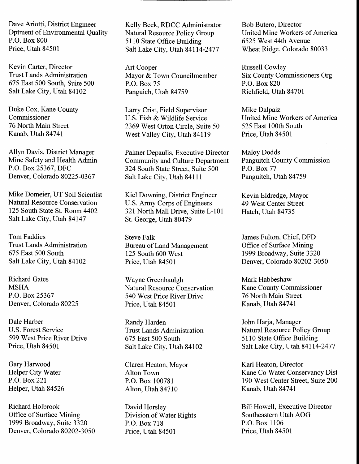Dave Ariotti, District Engineer Dptment of Environmental Quality P.O. Box 800 Price, Utah 84501

Kevin Carter, Director Trust Lands Administration 675 East 500 South, Suite 500 Salt Lake City, Utah 84102

Duke Cox, Kane County Commissioner 76 North Main Street Kanab, Utah 84741

Allyn Davis, District Manager Mine Safety and Health Admin P.O. Box 25367, DFC Denver, Colorado 80225-0367

Mike Domeier, UT Soil Scientist Natural Resource Conservation 125 South State St. Room 4402 Salt Lake City, Utah 84147

Tom Faddies Trust Lands Administration 675 East 500 South Salt Lake City, Utah 84102

Richard Gates MSHA P.O. Box 25367 Denver, Colorado 80225

Dale Harber U.S. Forest Service 599 West Price River Drive Price, Utah 84501

Gary Harwood Helper City Water P.O. Box22l Helper, Utah 84526

Richard Holbrook Office of Surface Mining 1999 Broadway, Suite 3320 Denver. Colorado 80202-3050 Kelly Beck, RDCC Administrator Natural Resource Policy Group 5 I 10 State Office Building Salt Lake City, Utah 84114-2477

Art Cooper Mayor & Town Councilmember P.O. Box 75 Panguich, Utah 84759

Larry Crist, Field Supervisor U.S. Fish & Wildlife Service 2369 West Orton Circle, Suite 50 West Valley City, Utah 84119

Palmer Depaulis, Executive Director Community and Culture Department 324 South State Street, Suite 500 Salt Lake City, Utah 84111

Kiel Downing, District Engineer U.S. Army Corps of Engineers 321 North Mall Drive, Suite L-101 St. George, Utah 80479

Steve Falk Bureau of Land Management 125 South 600 West Price, Utah 84501

Wayne Greenhaulgh Natural Resource Conservation 540 West Price River Drive Price, Utah 84501

Randy Harden Trust Lands Administration 675 East 500 South Salt Lake City, Utah 84102

Claren Heaton, Mayor Alton Town P.O. Box 100781 Alton, Utah 84710

David Horsley Division of Water Rights P.O. Box 718 Price, Utah 84501

Bob Butero, Director United Mine Workers of America 6525 West 44th Avenue Wheat Ridge, Colorado 80033

Russell Cowley Six County Commissioners Org P.O. Box 820 Richfield, Utah 84701

Mike Dalpaiz United Mine Workers of America 525 East 100th South Price, Utah 84501

Maloy Dodds Panguitch County Commission P.O. Box 77 Panguitch, Utah 84759

Kevin Eldredge, Mayor 49 West Center Street Hatch, Utah 84735

James Fulton, Chief, DFD Office of Surface Mining 1999 Broadway, Suite 3320 Denver, Colorado 80202-3050

Mark Habbeshaw Kane County Commissioner 76 North Main Street Kanab, Utah 84741

John Harja, Manager Natural Resource Policy Group 5l l0 State Office Building Salt Lake City, Utah 84114-2477

Karl Heaton, Director Kane Co Water Conservancy Dist 190 West Center Street, Suite 200 Kanab, Utah 84741

Bill Howell, Executive Director Southeastern Utah AOG P.O. Box 1106 Price, Utah 84501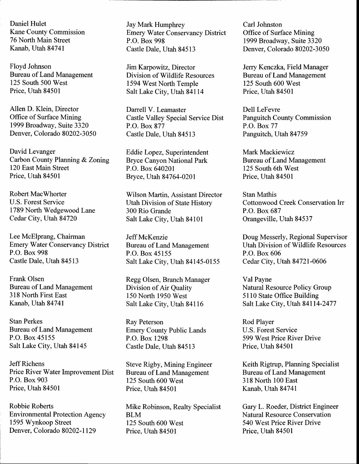Daniel Hulet Kane County Commission 76 North Main Street Kanab, Utah 84741

Floyd Johnson Bureau of Land Management 125 South 500 West Price, Utah 84501

Allen D. Klein, Director Office of Surface Mining 1999 Broadway, Suite 3320 Denver, Colorado 80202-3050

David Levanger Carbon County Planning & Zoning 120 East Main Street Price, Utah 84501

Robert MacWhorter U.S. Forest Service 1789 North Wedgewood Lane Cedar City, Utah 84720

Lee McElprang, Chairman Emery Water Conservancy District P.O. Box 998 Castle Dale, Utah 84513

Frank Olsen Bureau of Land Management 318 North First East Kanab, Utah 84741

Stan Perkes Bureau of Land Management P.O. Box 45155 Salt Lake City, Utah 84145

Jeff Richens Price River Water Improvement Dist P.O. Box 903 Price, Utah 84501

Robbie Roberts Environmental Protection Agency 1595 Wynkoop Street Denver, Colorado 80202-1129

Jay Mark Humphrey Emery Water Conservancy District P.O. Box 998 Castle Dale, Utah 84513

Jim Karpowitz, Director Division of Wildlife Resources 1594 West North Temple Salt Lake City, Utah 84114

Darrell V. Leamaster Castle Valley Special Service Dist P.O. Box 877 Castle Dale, Utah 84513

Eddie Lapez, Superintendent Bryce Canyon National Park P.O. Box 640201 Bryce, Utah 84764-0201

Wilson Martin, Assistant Director Utah Division of State History 300 Rio Grande Salt Lake City, Utah 84101

Jeff McKenzie Bureau of Land Management P.O. Box 45155 Salt Lake City, Utah 84145-0155

Regg Olsen, Branch Manager Division of Air Quality 150 North 1950 West Salt Lake City, Utah 84116

Ray Peterson Emery County Public Lands P.O. Box 1298 Castle Dale, Utah 84513

Steve Rigby, Mining Engineer Bureau of Land Management 125 South 600 West Price, Utah 84501

Mike Robinson, Realty Specialist BLM 125 South 600 West Price, Utah 84501

Carl Johnston Office of Surface Mining 1999 Broadway, Suite 3320 Denver, Colorado 80202-3050

Jerry Kenczka, Field Manager Bureau of Land Management 125 South 600 West Price, Utah 84501

Dell LeFevre Panguitch County Commission P.O. Box77 Panguitch, Utah 84759

Mark Mackiewicz Bureau of Land Management 125 South 6th West Price, Utah 84501

Stan Mathis Cottonwood Creek Conservation Irr P.O. Box 687 Orangeville, Utah 84537

Doug Messerly, Regional Supervisor Utah Division of Wildlife Resources P.O. Box 606 Cedar City, Utah 84721-0606

Val Payne Natural Resource Policy Group 51 10 State Office Building Salt Lake City, Utah 84114-2477

Rod Player U.S. Forest Service 599 West Price River Drive Price, Utah 84501

Keith Rigtrup, Planning Specialist Bureau of Land Management 318 North 100 East Kanab, Utah 84741

Gary L. Roeder, District Engineer Natural Resource Conservation 540 West Price River Drive Price, Utah 84501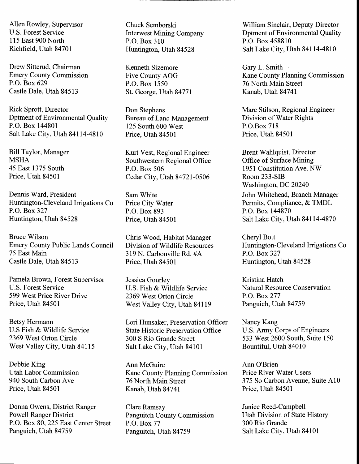Allen Rowley, Supervisor U.S. Forest Service 115 East 900 North Richfield, Urah 84701

Drew Sitterud, Chairman Emery County Commission P.O. Box 629 Castle Dale, Utah 84513

Rick Sprott, Director Dptment of Environmental Quality P.O. Box 144801 Salt Lake City, Utah 84114-4810

Bill Taylor, Manager MSHA 45 East 1375 South Price, Utah 84501

Dennis Ward, President Huntington-Cleveland Irrigations Co P.O. Box 327 Huntington, Utah 84528

Bruce Wilson Emery County Public Lands Council 75 East Main Castle Dale, Utah 84513

Pamela Brown, Forest Supervisor U.S. Forest Service 599 West Price River Drive Price, Utah 84501

Betsy Hermann U.S Fish & Wildlife Service 2369 West Orton Circle West Valley City, Utah 84115

Debbie King Utah Labor Commission 940 South Carbon Ave Price, Utah 84501

Donna Owens, District Ranger Powell Ranger District P.O. Box 80,225 East Center Street Panguich, Utah 84759

Chuck Semborski Interwest Mining Company P.O. Box 310 Huntington, Utah 84528

Kenneth Sizemore Five County AOG P.O. Box 1550 St. George, Utah 84771

Don Stephens Bureau of Land Management 125 South 600 West Price, Utah 84501

Kurt Vest, Regional Engineer Southwestern Regional Office P.O. Box 506 Cedar City, Utah 84721-0506

Sam White Price City Water P.O. Box 893 Price, Utah 84501

Chris Wood, Habitat Manager Division of Wildlife Resources 319 N. Carbonville Rd. #A Price, Utah 84501

Jessica Gourley U.S. Fish & Wildlife Service 2369 West Orton Circle West Valley City, Utah 84119

Lori Hunsaker, Preservation Officer State Historic Preservation Offrce 300 S Rio Grande Street Salt Lake City, Utah 84101

Ann McGuire Kane County Planning Commission 76 North Main Street Kanab, Utah 84741

Clare Ramsay Panguitch County Commission P.O. Box 77 Panguitch, Utah 84759

William Sinclair, Deputy Director Dptment of Environmental Quality P.O. Box 458810 Salt Lake City, Utah 84114-4810

Gary L. Smith Kane County Planning Commission 76 North Main Street Kanab, Utah 84741

Marc Stilson, Regional Engineer Division of Water Rights P.O.Box 718 Price, Utah 84501

Brent Wahlquist, Director Office of Surface Mining l95l Constitution Ave. NW Room 233-SIB Washington, DC 20240 John Whitehead, Branch Manager Permits, Compliance, & TMDL P.O. Box 144870 Salt Lake City, Utah 84114-4870

Cheryl Bott Huntington-Cleveland Irrigations Co P.O. Box327 Huntington, Utah 84528

Kristina Hatch Natural Resource Conservation P.O. Box277 Panguich, Utah 84759

Nancy Kang U.S. Army Corps of Engineers 533 West 2600 South, Suite 150 Bountiful, Utah 84010

Ann O'Brien Price River Water Users 375 So Carbon Avenue, Suite A10 Price, Utah 84501

Janice Reed-Campbell Utah Division of State History 300 Rio Grande Salt Lake City, Utah 84101